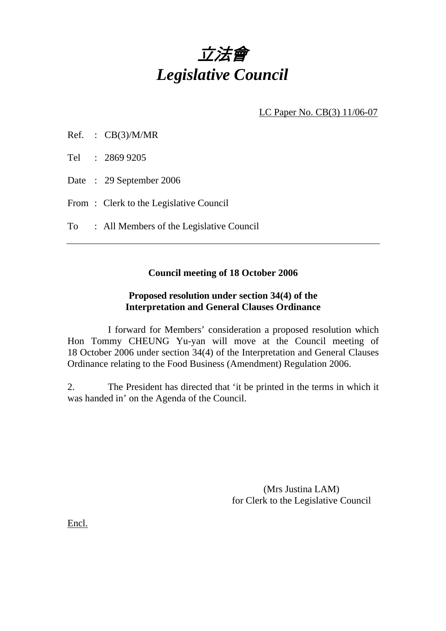

LC Paper No. CB(3) 11/06-07

| Ref. | CB(3)/M/MR |
|------|------------|
|      |            |

Tel : 2869 9205

Date : 29 September 2006

From: Clerk to the Legislative Council

To : All Members of the Legislative Council

## **Council meeting of 18 October 2006**

## **Proposed resolution under section 34(4) of the Interpretation and General Clauses Ordinance**

 I forward for Members' consideration a proposed resolution which Hon Tommy CHEUNG Yu-yan will move at the Council meeting of 18 October 2006 under section 34(4) of the Interpretation and General Clauses Ordinance relating to the Food Business (Amendment) Regulation 2006.

2. The President has directed that 'it be printed in the terms in which it was handed in' on the Agenda of the Council.

> (Mrs Justina LAM) for Clerk to the Legislative Council

Encl.